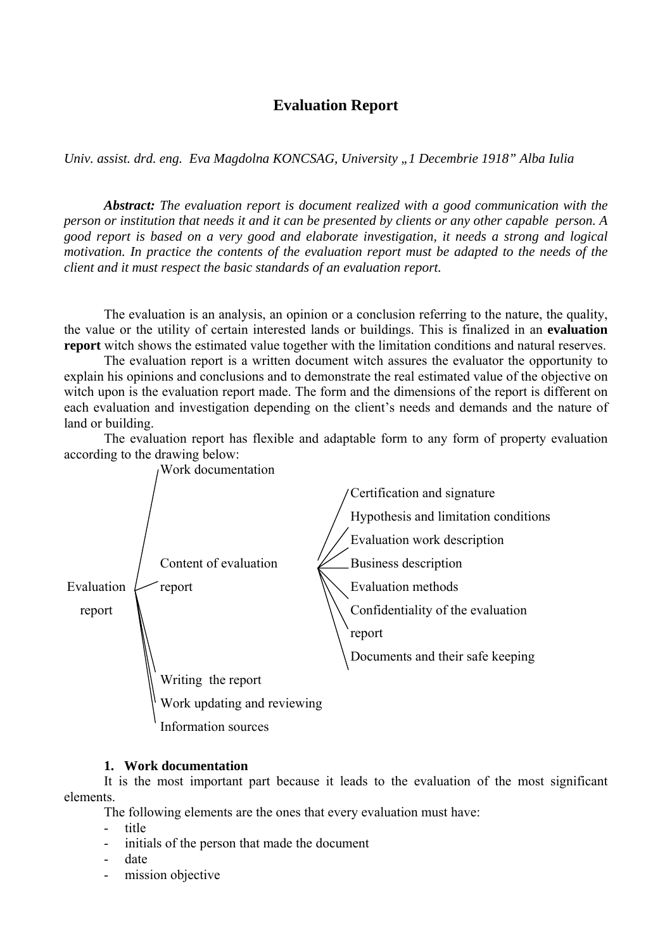# **Evaluation Report**

*Univ. assist. drd. eng. Eva Magdolna KONCSAG, University "1 Decembrie 1918" Alba Iulia* 

*Abstract: The evaluation report is document realized with a good communication with the person or institution that needs it and it can be presented by clients or any other capable person. A good report is based on a very good and elaborate investigation, it needs a strong and logical motivation. In practice the contents of the evaluation report must be adapted to the needs of the client and it must respect the basic standards of an evaluation report.* 

The evaluation is an analysis, an opinion or a conclusion referring to the nature, the quality, the value or the utility of certain interested lands or buildings. This is finalized in an **evaluation report** witch shows the estimated value together with the limitation conditions and natural reserves.

The evaluation report is a written document witch assures the evaluator the opportunity to explain his opinions and conclusions and to demonstrate the real estimated value of the objective on witch upon is the evaluation report made. The form and the dimensions of the report is different on each evaluation and investigation depending on the client's needs and demands and the nature of land or building.

The evaluation report has flexible and adaptable form to any form of property evaluation according to the drawing below:



#### **1. Work documentation**

It is the most important part because it leads to the evaluation of the most significant elements.

The following elements are the ones that every evaluation must have:

- title
- initials of the person that made the document
- date
- mission objective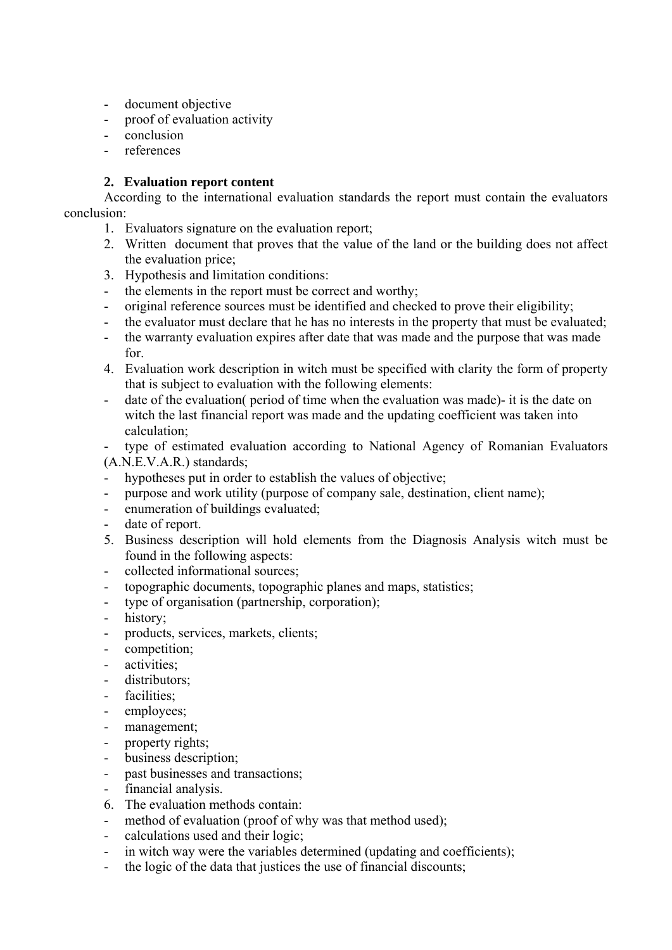- document objective
- proof of evaluation activity
- conclusion
- references

## **2. Evaluation report content**

According to the international evaluation standards the report must contain the evaluators conclusion:

- 1. Evaluators signature on the evaluation report;
- 2. Written document that proves that the value of the land or the building does not affect the evaluation price;
- 3. Hypothesis and limitation conditions:
- the elements in the report must be correct and worthy;
- original reference sources must be identified and checked to prove their eligibility;
- the evaluator must declare that he has no interests in the property that must be evaluated;
- the warranty evaluation expires after date that was made and the purpose that was made for.
- 4. Evaluation work description in witch must be specified with clarity the form of property that is subject to evaluation with the following elements:
- date of the evaluation( period of time when the evaluation was made)- it is the date on witch the last financial report was made and the updating coefficient was taken into calculation;

type of estimated evaluation according to National Agency of Romanian Evaluators (A.N.E.V.A.R.) standards;

- hypotheses put in order to establish the values of objective;
- purpose and work utility (purpose of company sale, destination, client name);
- enumeration of buildings evaluated;
- date of report.
- 5. Business description will hold elements from the Diagnosis Analysis witch must be found in the following aspects:
- collected informational sources;
- topographic documents, topographic planes and maps, statistics;
- type of organisation (partnership, corporation);
- history;
- products, services, markets, clients;
- competition;
- activities:
- distributors;
- facilities;
- employees;
- management;
- property rights;
- business description;
- past businesses and transactions;
- financial analysis.
- 6. The evaluation methods contain:
- method of evaluation (proof of why was that method used);
- calculations used and their logic;
- in witch way were the variables determined (updating and coefficients);
- the logic of the data that justices the use of financial discounts;